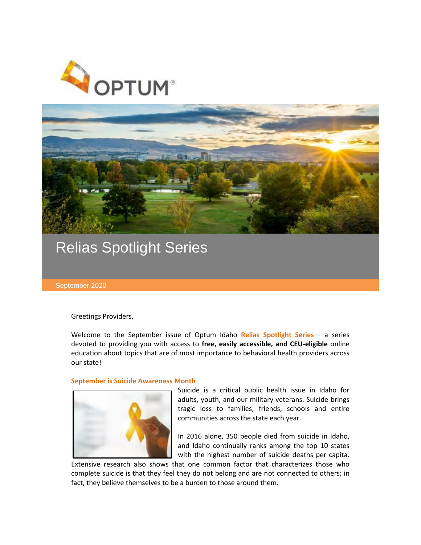



## Relias Spotlight Series

September 2020

Greetings Providers,

Welcome to the September issue of Optum Idaho **Relias Spotlight Series**— a series devoted to providing you with access to **free, easily accessible, and CEU-eligible** online education about topics that are of most importance to behavioral health providers across our state!

## **September is Suicide Awareness Month**



Suicide is a critical public health issue in Idaho for adults, youth, and our military veterans. Suicide brings tragic loss to families, friends, schools and entire communities across the state each year.

In 2016 alone, 350 people died from suicide in Idaho, and Idaho continually ranks among the top 10 states with the highest number of suicide deaths per capita.

Extensive research also shows that one common factor that characterizes those who complete suicide is that they feel they do not belong and are not connected to others; in fact, they believe themselves to be a burden to those around them.